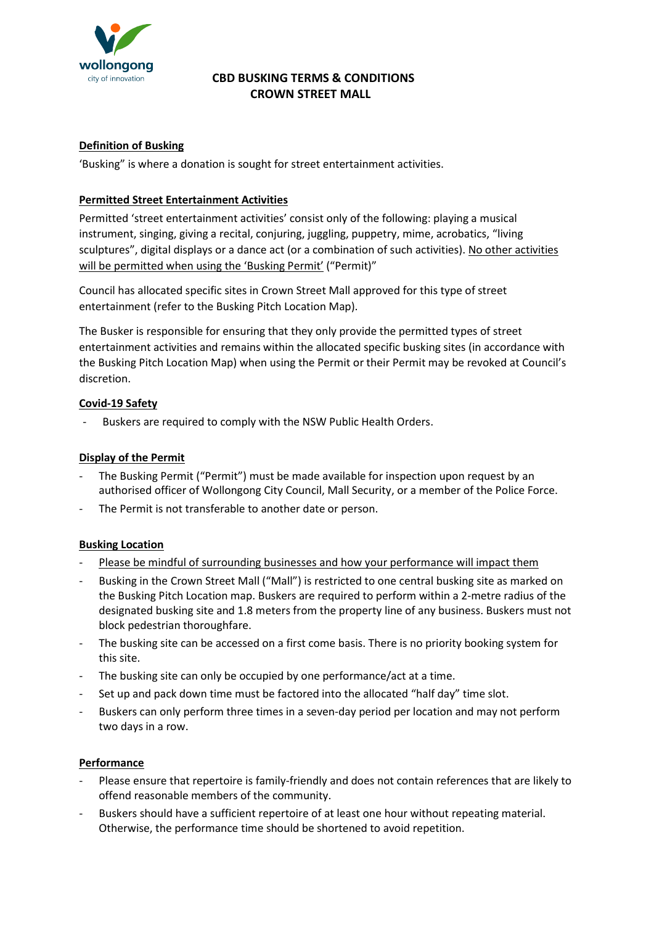

# CBD BUSKING TERMS & CONDITIONS CROWN STREET MALL

### Definition of Busking

'Busking" is where a donation is sought for street entertainment activities.

### Permitted Street Entertainment Activities

Permitted 'street entertainment activities' consist only of the following: playing a musical instrument, singing, giving a recital, conjuring, juggling, puppetry, mime, acrobatics, "living sculptures", digital displays or a dance act (or a combination of such activities). No other activities will be permitted when using the 'Busking Permit' ("Permit)"

Council has allocated specific sites in Crown Street Mall approved for this type of street entertainment (refer to the Busking Pitch Location Map).

The Busker is responsible for ensuring that they only provide the permitted types of street entertainment activities and remains within the allocated specific busking sites (in accordance with the Busking Pitch Location Map) when using the Permit or their Permit may be revoked at Council's discretion.

### Covid-19 Safety

Buskers are required to comply with the NSW Public Health Orders.

### Display of the Permit

- The Busking Permit ("Permit") must be made available for inspection upon request by an authorised officer of Wollongong City Council, Mall Security, or a member of the Police Force.
- The Permit is not transferable to another date or person.

### Busking Location

- Please be mindful of surrounding businesses and how your performance will impact them
- Busking in the Crown Street Mall ("Mall") is restricted to one central busking site as marked on the Busking Pitch Location map. Buskers are required to perform within a 2-metre radius of the designated busking site and 1.8 meters from the property line of any business. Buskers must not block pedestrian thoroughfare.
- The busking site can be accessed on a first come basis. There is no priority booking system for this site.
- The busking site can only be occupied by one performance/act at a time.
- Set up and pack down time must be factored into the allocated "half day" time slot.
- Buskers can only perform three times in a seven-day period per location and may not perform two days in a row.

#### Performance

- Please ensure that repertoire is family-friendly and does not contain references that are likely to offend reasonable members of the community.
- Buskers should have a sufficient repertoire of at least one hour without repeating material. Otherwise, the performance time should be shortened to avoid repetition.